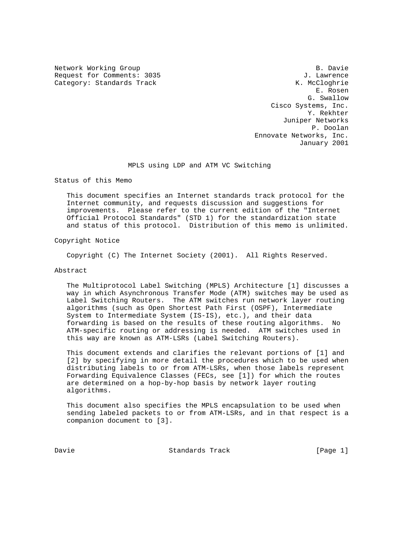Network Working Group and B. Davie B. Davie B. Davie B. Davie B. Davie B. Davie B. Davie B. Davie B. Davie B. Davie B. Davie B. Davie B. Davie B. Davie B. Davie B. Davie B. Davie B. Davie B. Davie B. Davie B. Davie B. Davi Request for Comments: 3035 Category: Standards Track K. McCloghrie

 E. Rosen G. Swallow Cisco Systems, Inc. Y. Rekhter Juniper Networks P. Doolan Ennovate Networks, Inc. January 2001

# MPLS using LDP and ATM VC Switching

Status of this Memo

 This document specifies an Internet standards track protocol for the Internet community, and requests discussion and suggestions for improvements. Please refer to the current edition of the "Internet Official Protocol Standards" (STD 1) for the standardization state and status of this protocol. Distribution of this memo is unlimited.

Copyright Notice

Copyright (C) The Internet Society (2001). All Rights Reserved.

#### Abstract

 The Multiprotocol Label Switching (MPLS) Architecture [1] discusses a way in which Asynchronous Transfer Mode (ATM) switches may be used as Label Switching Routers. The ATM switches run network layer routing algorithms (such as Open Shortest Path First (OSPF), Intermediate System to Intermediate System (IS-IS), etc.), and their data forwarding is based on the results of these routing algorithms. No ATM-specific routing or addressing is needed. ATM switches used in this way are known as ATM-LSRs (Label Switching Routers).

 This document extends and clarifies the relevant portions of [1] and [2] by specifying in more detail the procedures which to be used when distributing labels to or from ATM-LSRs, when those labels represent Forwarding Equivalence Classes (FECs, see [1]) for which the routes are determined on a hop-by-hop basis by network layer routing algorithms.

 This document also specifies the MPLS encapsulation to be used when sending labeled packets to or from ATM-LSRs, and in that respect is a companion document to [3].

Davie **Standards Track** [Page 1]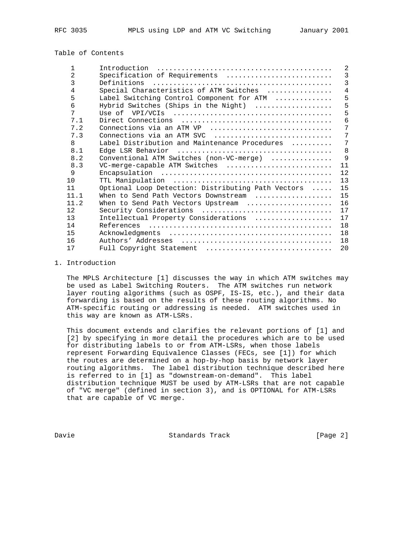# Table of Contents

| 1    | Introduction                                       | 2              |
|------|----------------------------------------------------|----------------|
| 2    | Specification of Requirements                      | 3              |
| 3    | Definitions                                        | $\mathcal{E}$  |
| 4    | Special Characteristics of ATM Switches            | $\overline{4}$ |
| 5    | Label Switching Control Component for ATM          | 5              |
| 6    | Hybrid Switches (Ships in the Night)               | 5              |
| 7    |                                                    | 5              |
| 7.1  |                                                    | 6              |
| 7.2  | Connections via an ATM VP                          | 7              |
| 7.3  | Connections via an ATM SVC                         | 7              |
| 8    | Label Distribution and Maintenance Procedures      | 7              |
| 8.1  |                                                    | 8              |
| 8.2  | Conventional ATM Switches (non-VC-merge)           | $\mathsf{Q}$   |
| 8.3  | VC-merge-capable ATM Switches                      | 11             |
| 9    |                                                    | 12             |
| 10   |                                                    | 13             |
| 11   | Optional Loop Detection: Distributing Path Vectors | 15             |
| 11.1 | When to Send Path Vectors Downstream               | 15             |
| 11.2 | When to Send Path Vectors Upstream                 | 16             |
| 12   | Security Considerations                            | 17             |
| 13   | Intellectual Property Considerations               | 17             |
| 14   | References                                         | 18             |
| 15   |                                                    | 18             |
| 16   |                                                    | 18             |
| 17   | Full Copyright Statement                           | 20             |

# 1. Introduction

 The MPLS Architecture [1] discusses the way in which ATM switches may be used as Label Switching Routers. The ATM switches run network layer routing algorithms (such as OSPF, IS-IS, etc.), and their data forwarding is based on the results of these routing algorithms. No ATM-specific routing or addressing is needed. ATM switches used in this way are known as ATM-LSRs.

 This document extends and clarifies the relevant portions of [1] and [2] by specifying in more detail the procedures which are to be used for distributing labels to or from ATM-LSRs, when those labels represent Forwarding Equivalence Classes (FECs, see [1]) for which the routes are determined on a hop-by-hop basis by network layer routing algorithms. The label distribution technique described here is referred to in [1] as "downstream-on-demand". This label distribution technique MUST be used by ATM-LSRs that are not capable of "VC merge" (defined in section 3), and is OPTIONAL for ATM-LSRs that are capable of VC merge.

Davie **Standards Track** [Page 2]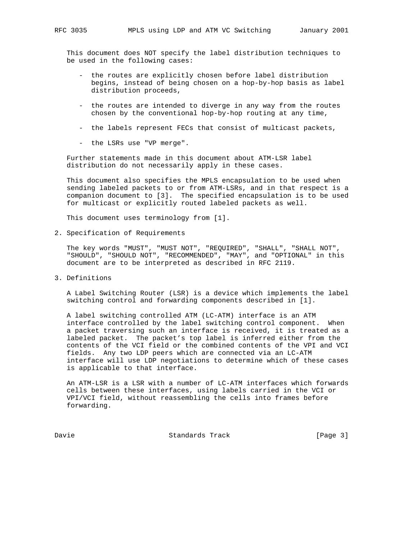This document does NOT specify the label distribution techniques to be used in the following cases:

- the routes are explicitly chosen before label distribution begins, instead of being chosen on a hop-by-hop basis as label distribution proceeds,
- the routes are intended to diverge in any way from the routes chosen by the conventional hop-by-hop routing at any time,
- the labels represent FECs that consist of multicast packets,
- the LSRs use "VP merge".

 Further statements made in this document about ATM-LSR label distribution do not necessarily apply in these cases.

 This document also specifies the MPLS encapsulation to be used when sending labeled packets to or from ATM-LSRs, and in that respect is a companion document to [3]. The specified encapsulation is to be used for multicast or explicitly routed labeled packets as well.

This document uses terminology from [1].

2. Specification of Requirements

 The key words "MUST", "MUST NOT", "REQUIRED", "SHALL", "SHALL NOT", "SHOULD", "SHOULD NOT", "RECOMMENDED", "MAY", and "OPTIONAL" in this document are to be interpreted as described in RFC 2119.

3. Definitions

 A Label Switching Router (LSR) is a device which implements the label switching control and forwarding components described in [1].

 A label switching controlled ATM (LC-ATM) interface is an ATM interface controlled by the label switching control component. When a packet traversing such an interface is received, it is treated as a labeled packet. The packet's top label is inferred either from the contents of the VCI field or the combined contents of the VPI and VCI fields. Any two LDP peers which are connected via an LC-ATM interface will use LDP negotiations to determine which of these cases is applicable to that interface.

 An ATM-LSR is a LSR with a number of LC-ATM interfaces which forwards cells between these interfaces, using labels carried in the VCI or VPI/VCI field, without reassembling the cells into frames before forwarding.

Davie **Standards Track** [Page 3]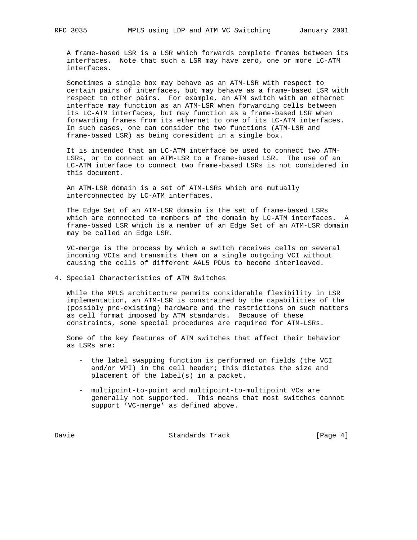A frame-based LSR is a LSR which forwards complete frames between its interfaces. Note that such a LSR may have zero, one or more LC-ATM interfaces.

 Sometimes a single box may behave as an ATM-LSR with respect to certain pairs of interfaces, but may behave as a frame-based LSR with respect to other pairs. For example, an ATM switch with an ethernet interface may function as an ATM-LSR when forwarding cells between its LC-ATM interfaces, but may function as a frame-based LSR when forwarding frames from its ethernet to one of its LC-ATM interfaces. In such cases, one can consider the two functions (ATM-LSR and frame-based LSR) as being coresident in a single box.

 It is intended that an LC-ATM interface be used to connect two ATM- LSRs, or to connect an ATM-LSR to a frame-based LSR. The use of an LC-ATM interface to connect two frame-based LSRs is not considered in this document.

 An ATM-LSR domain is a set of ATM-LSRs which are mutually interconnected by LC-ATM interfaces.

 The Edge Set of an ATM-LSR domain is the set of frame-based LSRs which are connected to members of the domain by LC-ATM interfaces. A frame-based LSR which is a member of an Edge Set of an ATM-LSR domain may be called an Edge LSR.

 VC-merge is the process by which a switch receives cells on several incoming VCIs and transmits them on a single outgoing VCI without causing the cells of different AAL5 PDUs to become interleaved.

4. Special Characteristics of ATM Switches

 While the MPLS architecture permits considerable flexibility in LSR implementation, an ATM-LSR is constrained by the capabilities of the (possibly pre-existing) hardware and the restrictions on such matters as cell format imposed by ATM standards. Because of these constraints, some special procedures are required for ATM-LSRs.

 Some of the key features of ATM switches that affect their behavior as LSRs are:

- the label swapping function is performed on fields (the VCI and/or VPI) in the cell header; this dictates the size and placement of the label(s) in a packet.
- multipoint-to-point and multipoint-to-multipoint VCs are generally not supported. This means that most switches cannot support 'VC-merge' as defined above.

Davie **Standards Track** [Page 4]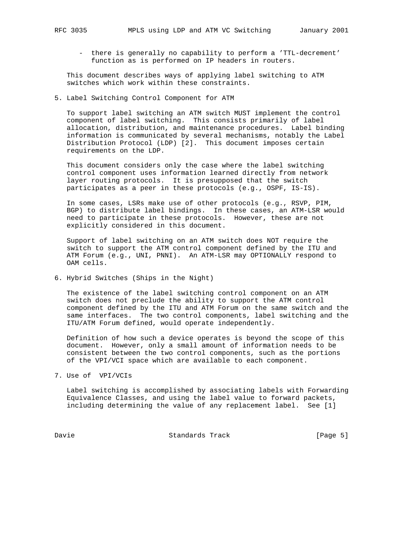- there is generally no capability to perform a 'TTL-decrement' function as is performed on IP headers in routers.

 This document describes ways of applying label switching to ATM switches which work within these constraints.

5. Label Switching Control Component for ATM

 To support label switching an ATM switch MUST implement the control component of label switching. This consists primarily of label allocation, distribution, and maintenance procedures. Label binding information is communicated by several mechanisms, notably the Label Distribution Protocol (LDP) [2]. This document imposes certain requirements on the LDP.

 This document considers only the case where the label switching control component uses information learned directly from network layer routing protocols. It is presupposed that the switch participates as a peer in these protocols (e.g., OSPF, IS-IS).

 In some cases, LSRs make use of other protocols (e.g., RSVP, PIM, BGP) to distribute label bindings. In these cases, an ATM-LSR would need to participate in these protocols. However, these are not explicitly considered in this document.

 Support of label switching on an ATM switch does NOT require the switch to support the ATM control component defined by the ITU and ATM Forum (e.g., UNI, PNNI). An ATM-LSR may OPTIONALLY respond to OAM cells.

6. Hybrid Switches (Ships in the Night)

 The existence of the label switching control component on an ATM switch does not preclude the ability to support the ATM control component defined by the ITU and ATM Forum on the same switch and the same interfaces. The two control components, label switching and the ITU/ATM Forum defined, would operate independently.

 Definition of how such a device operates is beyond the scope of this document. However, only a small amount of information needs to be consistent between the two control components, such as the portions of the VPI/VCI space which are available to each component.

7. Use of VPI/VCIs

 Label switching is accomplished by associating labels with Forwarding Equivalence Classes, and using the label value to forward packets, including determining the value of any replacement label. See [1]

Davie Chambridge Standards Track Chambridge Standards (Page 5)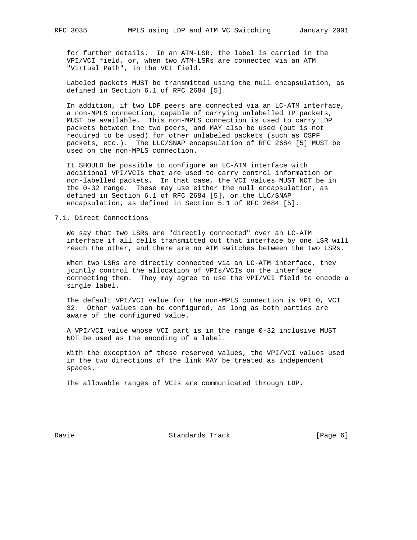for further details. In an ATM-LSR, the label is carried in the VPI/VCI field, or, when two ATM-LSRs are connected via an ATM "Virtual Path", in the VCI field.

 Labeled packets MUST be transmitted using the null encapsulation, as defined in Section 6.1 of RFC 2684 [5].

 In addition, if two LDP peers are connected via an LC-ATM interface, a non-MPLS connection, capable of carrying unlabelled IP packets, MUST be available. This non-MPLS connection is used to carry LDP packets between the two peers, and MAY also be used (but is not required to be used) for other unlabeled packets (such as OSPF packets, etc.). The LLC/SNAP encapsulation of RFC 2684 [5] MUST be used on the non-MPLS connection.

 It SHOULD be possible to configure an LC-ATM interface with additional VPI/VCIs that are used to carry control information or non-labelled packets. In that case, the VCI values MUST NOT be in the 0-32 range. These may use either the null encapsulation, as defined in Section 6.1 of RFC 2684 [5], or the LLC/SNAP encapsulation, as defined in Section 5.1 of RFC 2684 [5].

### 7.1. Direct Connections

 We say that two LSRs are "directly connected" over an LC-ATM interface if all cells transmitted out that interface by one LSR will reach the other, and there are no ATM switches between the two LSRs.

 When two LSRs are directly connected via an LC-ATM interface, they jointly control the allocation of VPIs/VCIs on the interface connecting them. They may agree to use the VPI/VCI field to encode a single label.

 The default VPI/VCI value for the non-MPLS connection is VPI 0, VCI 32. Other values can be configured, as long as both parties are aware of the configured value.

 A VPI/VCI value whose VCI part is in the range 0-32 inclusive MUST NOT be used as the encoding of a label.

 With the exception of these reserved values, the VPI/VCI values used in the two directions of the link MAY be treated as independent spaces.

The allowable ranges of VCIs are communicated through LDP.

Davie **Standards Track** [Page 6]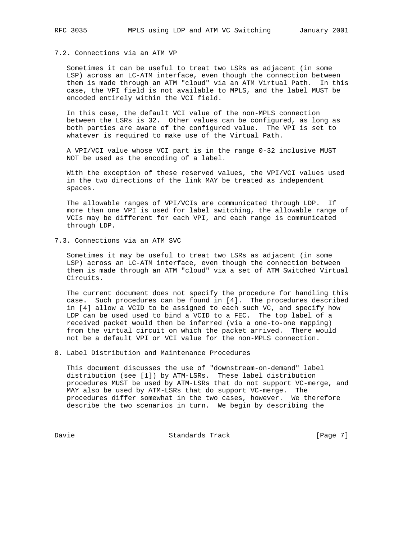### 7.2. Connections via an ATM VP

 Sometimes it can be useful to treat two LSRs as adjacent (in some LSP) across an LC-ATM interface, even though the connection between them is made through an ATM "cloud" via an ATM Virtual Path. In this case, the VPI field is not available to MPLS, and the label MUST be encoded entirely within the VCI field.

 In this case, the default VCI value of the non-MPLS connection between the LSRs is 32. Other values can be configured, as long as both parties are aware of the configured value. The VPI is set to whatever is required to make use of the Virtual Path.

 A VPI/VCI value whose VCI part is in the range 0-32 inclusive MUST NOT be used as the encoding of a label.

 With the exception of these reserved values, the VPI/VCI values used in the two directions of the link MAY be treated as independent spaces.

 The allowable ranges of VPI/VCIs are communicated through LDP. If more than one VPI is used for label switching, the allowable range of VCIs may be different for each VPI, and each range is communicated through LDP.

7.3. Connections via an ATM SVC

 Sometimes it may be useful to treat two LSRs as adjacent (in some LSP) across an LC-ATM interface, even though the connection between them is made through an ATM "cloud" via a set of ATM Switched Virtual Circuits.

 The current document does not specify the procedure for handling this case. Such procedures can be found in [4]. The procedures described in [4] allow a VCID to be assigned to each such VC, and specify how LDP can be used used to bind a VCID to a FEC. The top label of a received packet would then be inferred (via a one-to-one mapping) from the virtual circuit on which the packet arrived. There would not be a default VPI or VCI value for the non-MPLS connection.

8. Label Distribution and Maintenance Procedures

 This document discusses the use of "downstream-on-demand" label distribution (see [1]) by ATM-LSRs. These label distribution procedures MUST be used by ATM-LSRs that do not support VC-merge, and MAY also be used by ATM-LSRs that do support VC-merge. The procedures differ somewhat in the two cases, however. We therefore describe the two scenarios in turn. We begin by describing the

Davie **Standards Track** [Page 7]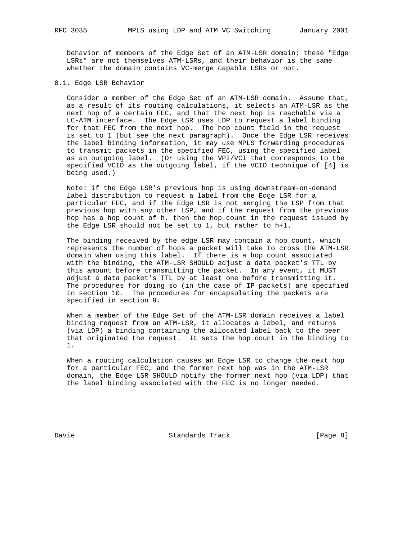behavior of members of the Edge Set of an ATM-LSR domain; these "Edge LSRs" are not themselves ATM-LSRs, and their behavior is the same whether the domain contains VC-merge capable LSRs or not.

## 8.1. Edge LSR Behavior

 Consider a member of the Edge Set of an ATM-LSR domain. Assume that, as a result of its routing calculations, it selects an ATM-LSR as the next hop of a certain FEC, and that the next hop is reachable via a LC-ATM interface. The Edge LSR uses LDP to request a label binding for that FEC from the next hop. The hop count field in the request is set to 1 (but see the next paragraph). Once the Edge LSR receives the label binding information, it may use MPLS forwarding procedures to transmit packets in the specified FEC, using the specified label as an outgoing label. (Or using the VPI/VCI that corresponds to the specified VCID as the outgoing label, if the VCID technique of [4] is being used.)

 Note: if the Edge LSR's previous hop is using downstream-on-demand label distribution to request a label from the Edge LSR for a particular FEC, and if the Edge LSR is not merging the LSP from that previous hop with any other LSP, and if the request from the previous hop has a hop count of h, then the hop count in the request issued by the Edge LSR should not be set to 1, but rather to h+1.

 The binding received by the edge LSR may contain a hop count, which represents the number of hops a packet will take to cross the ATM-LSR domain when using this label. If there is a hop count associated with the binding, the ATM-LSR SHOULD adjust a data packet's TTL by this amount before transmitting the packet. In any event, it MUST adjust a data packet's TTL by at least one before transmitting it. The procedures for doing so (in the case of IP packets) are specified in section 10. The procedures for encapsulating the packets are specified in section 9.

 When a member of the Edge Set of the ATM-LSR domain receives a label binding request from an ATM-LSR, it allocates a label, and returns (via LDP) a binding containing the allocated label back to the peer that originated the request. It sets the hop count in the binding to 1.

 When a routing calculation causes an Edge LSR to change the next hop for a particular FEC, and the former next hop was in the ATM-LSR domain, the Edge LSR SHOULD notify the former next hop (via LDP) that the label binding associated with the FEC is no longer needed.

Davie **Standards Track** [Page 8]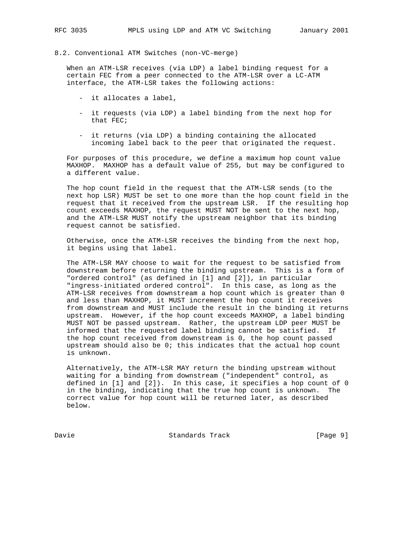8.2. Conventional ATM Switches (non-VC-merge)

 When an ATM-LSR receives (via LDP) a label binding request for a certain FEC from a peer connected to the ATM-LSR over a LC-ATM interface, the ATM-LSR takes the following actions:

- it allocates a label,
- it requests (via LDP) a label binding from the next hop for that FEC;
- it returns (via LDP) a binding containing the allocated incoming label back to the peer that originated the request.

 For purposes of this procedure, we define a maximum hop count value MAXHOP. MAXHOP has a default value of 255, but may be configured to a different value.

 The hop count field in the request that the ATM-LSR sends (to the next hop LSR) MUST be set to one more than the hop count field in the request that it received from the upstream LSR. If the resulting hop count exceeds MAXHOP, the request MUST NOT be sent to the next hop, and the ATM-LSR MUST notify the upstream neighbor that its binding request cannot be satisfied.

 Otherwise, once the ATM-LSR receives the binding from the next hop, it begins using that label.

 The ATM-LSR MAY choose to wait for the request to be satisfied from downstream before returning the binding upstream. This is a form of "ordered control" (as defined in [1] and [2]), in particular "ingress-initiated ordered control". In this case, as long as the ATM-LSR receives from downstream a hop count which is greater than 0 and less than MAXHOP, it MUST increment the hop count it receives from downstream and MUST include the result in the binding it returns upstream. However, if the hop count exceeds MAXHOP, a label binding MUST NOT be passed upstream. Rather, the upstream LDP peer MUST be informed that the requested label binding cannot be satisfied. If the hop count received from downstream is 0, the hop count passed upstream should also be 0; this indicates that the actual hop count is unknown.

 Alternatively, the ATM-LSR MAY return the binding upstream without waiting for a binding from downstream ("independent" control, as defined in [1] and [2]). In this case, it specifies a hop count of 0 in the binding, indicating that the true hop count is unknown. The correct value for hop count will be returned later, as described below.

Davie **Standards Track** [Page 9]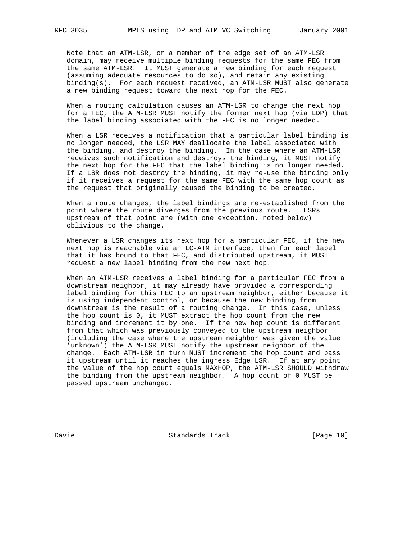Note that an ATM-LSR, or a member of the edge set of an ATM-LSR domain, may receive multiple binding requests for the same FEC from the same ATM-LSR. It MUST generate a new binding for each request (assuming adequate resources to do so), and retain any existing binding(s). For each request received, an ATM-LSR MUST also generate a new binding request toward the next hop for the FEC.

 When a routing calculation causes an ATM-LSR to change the next hop for a FEC, the ATM-LSR MUST notify the former next hop (via LDP) that the label binding associated with the FEC is no longer needed.

 When a LSR receives a notification that a particular label binding is no longer needed, the LSR MAY deallocate the label associated with the binding, and destroy the binding. In the case where an ATM-LSR receives such notification and destroys the binding, it MUST notify the next hop for the FEC that the label binding is no longer needed. If a LSR does not destroy the binding, it may re-use the binding only if it receives a request for the same FEC with the same hop count as the request that originally caused the binding to be created.

 When a route changes, the label bindings are re-established from the point where the route diverges from the previous route. LSRs upstream of that point are (with one exception, noted below) oblivious to the change.

 Whenever a LSR changes its next hop for a particular FEC, if the new next hop is reachable via an LC-ATM interface, then for each label that it has bound to that FEC, and distributed upstream, it MUST request a new label binding from the new next hop.

 When an ATM-LSR receives a label binding for a particular FEC from a downstream neighbor, it may already have provided a corresponding label binding for this FEC to an upstream neighbor, either because it is using independent control, or because the new binding from downstream is the result of a routing change. In this case, unless the hop count is 0, it MUST extract the hop count from the new binding and increment it by one. If the new hop count is different from that which was previously conveyed to the upstream neighbor (including the case where the upstream neighbor was given the value 'unknown') the ATM-LSR MUST notify the upstream neighbor of the change. Each ATM-LSR in turn MUST increment the hop count and pass it upstream until it reaches the ingress Edge LSR. If at any point the value of the hop count equals MAXHOP, the ATM-LSR SHOULD withdraw the binding from the upstream neighbor. A hop count of 0 MUST be passed upstream unchanged.

Davie Chamber Standards Track [Page 10]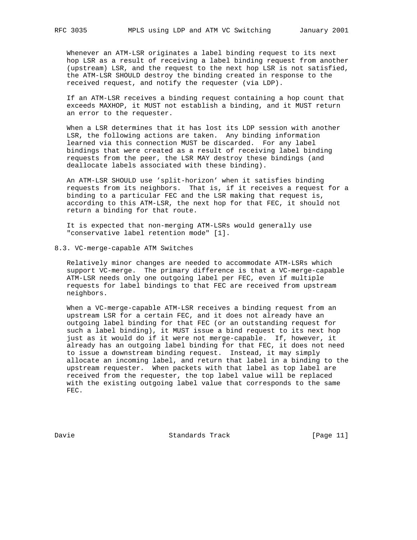Whenever an ATM-LSR originates a label binding request to its next hop LSR as a result of receiving a label binding request from another (upstream) LSR, and the request to the next hop LSR is not satisfied, the ATM-LSR SHOULD destroy the binding created in response to the received request, and notify the requester (via LDP).

 If an ATM-LSR receives a binding request containing a hop count that exceeds MAXHOP, it MUST not establish a binding, and it MUST return an error to the requester.

 When a LSR determines that it has lost its LDP session with another LSR, the following actions are taken. Any binding information learned via this connection MUST be discarded. For any label bindings that were created as a result of receiving label binding requests from the peer, the LSR MAY destroy these bindings (and deallocate labels associated with these binding).

 An ATM-LSR SHOULD use 'split-horizon' when it satisfies binding requests from its neighbors. That is, if it receives a request for a binding to a particular FEC and the LSR making that request is, according to this ATM-LSR, the next hop for that FEC, it should not return a binding for that route.

 It is expected that non-merging ATM-LSRs would generally use "conservative label retention mode" [1].

8.3. VC-merge-capable ATM Switches

 Relatively minor changes are needed to accommodate ATM-LSRs which support VC-merge. The primary difference is that a VC-merge-capable ATM-LSR needs only one outgoing label per FEC, even if multiple requests for label bindings to that FEC are received from upstream neighbors.

 When a VC-merge-capable ATM-LSR receives a binding request from an upstream LSR for a certain FEC, and it does not already have an outgoing label binding for that FEC (or an outstanding request for such a label binding), it MUST issue a bind request to its next hop just as it would do if it were not merge-capable. If, however, it already has an outgoing label binding for that FEC, it does not need to issue a downstream binding request. Instead, it may simply allocate an incoming label, and return that label in a binding to the upstream requester. When packets with that label as top label are received from the requester, the top label value will be replaced with the existing outgoing label value that corresponds to the same FEC.

Davie Chambridge Standards Track [Page 11]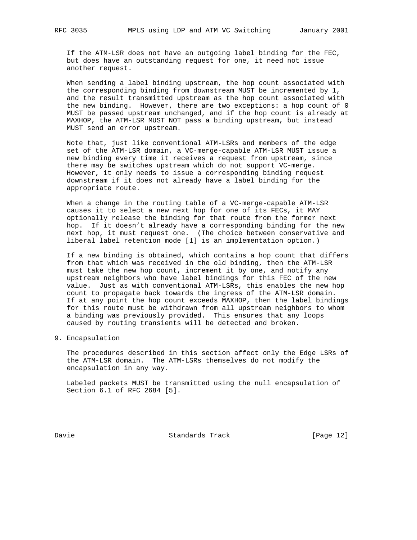If the ATM-LSR does not have an outgoing label binding for the FEC, but does have an outstanding request for one, it need not issue another request.

 When sending a label binding upstream, the hop count associated with the corresponding binding from downstream MUST be incremented by 1, and the result transmitted upstream as the hop count associated with the new binding. However, there are two exceptions: a hop count of 0 MUST be passed upstream unchanged, and if the hop count is already at MAXHOP, the ATM-LSR MUST NOT pass a binding upstream, but instead MUST send an error upstream.

 Note that, just like conventional ATM-LSRs and members of the edge set of the ATM-LSR domain, a VC-merge-capable ATM-LSR MUST issue a new binding every time it receives a request from upstream, since there may be switches upstream which do not support VC-merge. However, it only needs to issue a corresponding binding request downstream if it does not already have a label binding for the appropriate route.

 When a change in the routing table of a VC-merge-capable ATM-LSR causes it to select a new next hop for one of its FECs, it MAY optionally release the binding for that route from the former next hop. If it doesn't already have a corresponding binding for the new next hop, it must request one. (The choice between conservative and liberal label retention mode [1] is an implementation option.)

 If a new binding is obtained, which contains a hop count that differs from that which was received in the old binding, then the ATM-LSR must take the new hop count, increment it by one, and notify any upstream neighbors who have label bindings for this FEC of the new value. Just as with conventional ATM-LSRs, this enables the new hop count to propagate back towards the ingress of the ATM-LSR domain. If at any point the hop count exceeds MAXHOP, then the label bindings for this route must be withdrawn from all upstream neighbors to whom a binding was previously provided. This ensures that any loops caused by routing transients will be detected and broken.

9. Encapsulation

 The procedures described in this section affect only the Edge LSRs of the ATM-LSR domain. The ATM-LSRs themselves do not modify the encapsulation in any way.

 Labeled packets MUST be transmitted using the null encapsulation of Section 6.1 of RFC 2684 [5].

Davie Chamber Standards Track [Page 12]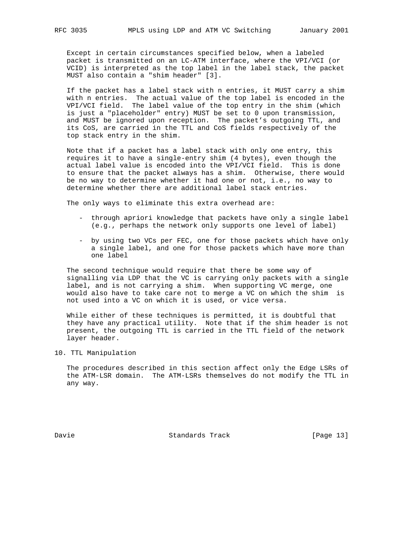Except in certain circumstances specified below, when a labeled packet is transmitted on an LC-ATM interface, where the VPI/VCI (or VCID) is interpreted as the top label in the label stack, the packet MUST also contain a "shim header" [3].

 If the packet has a label stack with n entries, it MUST carry a shim with n entries. The actual value of the top label is encoded in the VPI/VCI field. The label value of the top entry in the shim (which is just a "placeholder" entry) MUST be set to 0 upon transmission, and MUST be ignored upon reception. The packet's outgoing TTL, and its CoS, are carried in the TTL and CoS fields respectively of the top stack entry in the shim.

 Note that if a packet has a label stack with only one entry, this requires it to have a single-entry shim (4 bytes), even though the actual label value is encoded into the VPI/VCI field. This is done to ensure that the packet always has a shim. Otherwise, there would be no way to determine whether it had one or not, i.e., no way to determine whether there are additional label stack entries.

The only ways to eliminate this extra overhead are:

- through apriori knowledge that packets have only a single label (e.g., perhaps the network only supports one level of label)
- by using two VCs per FEC, one for those packets which have only a single label, and one for those packets which have more than one label

 The second technique would require that there be some way of signalling via LDP that the VC is carrying only packets with a single label, and is not carrying a shim. When supporting VC merge, one would also have to take care not to merge a VC on which the shim is not used into a VC on which it is used, or vice versa.

 While either of these techniques is permitted, it is doubtful that they have any practical utility. Note that if the shim header is not present, the outgoing TTL is carried in the TTL field of the network layer header.

10. TTL Manipulation

 The procedures described in this section affect only the Edge LSRs of the ATM-LSR domain. The ATM-LSRs themselves do not modify the TTL in any way.

Davie Chamber Standards Track [Page 13]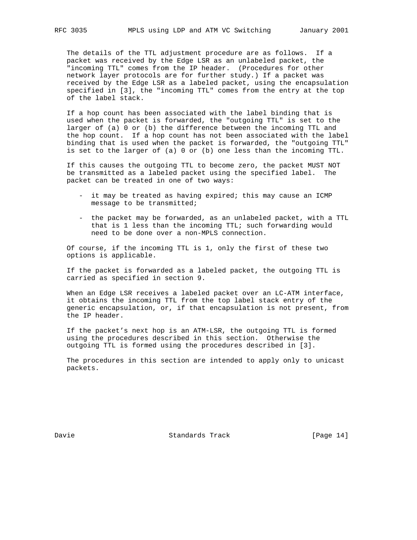The details of the TTL adjustment procedure are as follows. If a packet was received by the Edge LSR as an unlabeled packet, the "incoming TTL" comes from the IP header. (Procedures for other network layer protocols are for further study.) If a packet was received by the Edge LSR as a labeled packet, using the encapsulation specified in [3], the "incoming TTL" comes from the entry at the top of the label stack.

 If a hop count has been associated with the label binding that is used when the packet is forwarded, the "outgoing TTL" is set to the larger of (a) 0 or (b) the difference between the incoming TTL and the hop count. If a hop count has not been associated with the label binding that is used when the packet is forwarded, the "outgoing TTL" is set to the larger of (a) 0 or (b) one less than the incoming TTL.

 If this causes the outgoing TTL to become zero, the packet MUST NOT be transmitted as a labeled packet using the specified label. The packet can be treated in one of two ways:

- it may be treated as having expired; this may cause an ICMP message to be transmitted;
- the packet may be forwarded, as an unlabeled packet, with a TTL that is 1 less than the incoming TTL; such forwarding would need to be done over a non-MPLS connection.

 Of course, if the incoming TTL is 1, only the first of these two options is applicable.

 If the packet is forwarded as a labeled packet, the outgoing TTL is carried as specified in section 9.

When an Edge LSR receives a labeled packet over an LC-ATM interface, it obtains the incoming TTL from the top label stack entry of the generic encapsulation, or, if that encapsulation is not present, from the IP header.

 If the packet's next hop is an ATM-LSR, the outgoing TTL is formed using the procedures described in this section. Otherwise the outgoing TTL is formed using the procedures described in [3].

 The procedures in this section are intended to apply only to unicast packets.

Davie Chamber Standards Track [Page 14]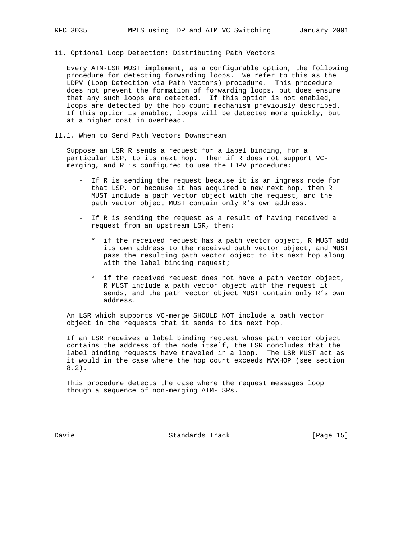11. Optional Loop Detection: Distributing Path Vectors

 Every ATM-LSR MUST implement, as a configurable option, the following procedure for detecting forwarding loops. We refer to this as the LDPV (Loop Detection via Path Vectors) procedure. This procedure does not prevent the formation of forwarding loops, but does ensure that any such loops are detected. If this option is not enabled, loops are detected by the hop count mechanism previously described. If this option is enabled, loops will be detected more quickly, but at a higher cost in overhead.

11.1. When to Send Path Vectors Downstream

 Suppose an LSR R sends a request for a label binding, for a particular LSP, to its next hop. Then if R does not support VC merging, and R is configured to use the LDPV procedure:

- If R is sending the request because it is an ingress node for that LSP, or because it has acquired a new next hop, then R MUST include a path vector object with the request, and the path vector object MUST contain only R's own address.
- If R is sending the request as a result of having received a request from an upstream LSR, then:
	- \* if the received request has a path vector object, R MUST add its own address to the received path vector object, and MUST pass the resulting path vector object to its next hop along with the label binding request;
	- \* if the received request does not have a path vector object, R MUST include a path vector object with the request it sends, and the path vector object MUST contain only R's own address.

 An LSR which supports VC-merge SHOULD NOT include a path vector object in the requests that it sends to its next hop.

 If an LSR receives a label binding request whose path vector object contains the address of the node itself, the LSR concludes that the label binding requests have traveled in a loop. The LSR MUST act as it would in the case where the hop count exceeds MAXHOP (see section 8.2).

 This procedure detects the case where the request messages loop though a sequence of non-merging ATM-LSRs.

Davie Chamber Standards Track [Page 15]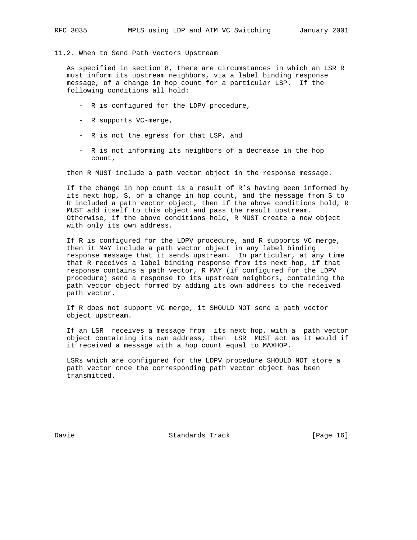11.2. When to Send Path Vectors Upstream

 As specified in section 8, there are circumstances in which an LSR R must inform its upstream neighbors, via a label binding response message, of a change in hop count for a particular LSP. If the following conditions all hold:

- R is configured for the LDPV procedure,
- R supports VC-merge,
- R is not the egress for that LSP, and
- R is not informing its neighbors of a decrease in the hop count,

then R MUST include a path vector object in the response message.

 If the change in hop count is a result of R's having been informed by its next hop, S, of a change in hop count, and the message from S to R included a path vector object, then if the above conditions hold, R MUST add itself to this object and pass the result upstream. Otherwise, if the above conditions hold, R MUST create a new object with only its own address.

 If R is configured for the LDPV procedure, and R supports VC merge, then it MAY include a path vector object in any label binding response message that it sends upstream. In particular, at any time that R receives a label binding response from its next hop, if that response contains a path vector, R MAY (if configured for the LDPV procedure) send a response to its upstream neighbors, containing the path vector object formed by adding its own address to the received path vector.

 If R does not support VC merge, it SHOULD NOT send a path vector object upstream.

 If an LSR receives a message from its next hop, with a path vector object containing its own address, then LSR MUST act as it would if it received a message with a hop count equal to MAXHOP.

 LSRs which are configured for the LDPV procedure SHOULD NOT store a path vector once the corresponding path vector object has been transmitted.

Davie **Standards Track** [Page 16]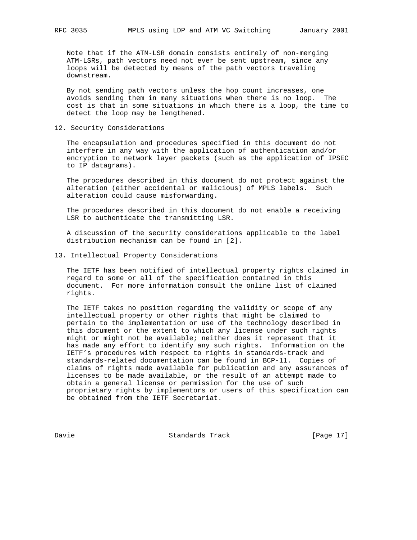Note that if the ATM-LSR domain consists entirely of non-merging ATM-LSRs, path vectors need not ever be sent upstream, since any loops will be detected by means of the path vectors traveling downstream.

 By not sending path vectors unless the hop count increases, one avoids sending them in many situations when there is no loop. The cost is that in some situations in which there is a loop, the time to detect the loop may be lengthened.

12. Security Considerations

 The encapsulation and procedures specified in this document do not interfere in any way with the application of authentication and/or encryption to network layer packets (such as the application of IPSEC to IP datagrams).

 The procedures described in this document do not protect against the alteration (either accidental or malicious) of MPLS labels. Such alteration could cause misforwarding.

 The procedures described in this document do not enable a receiving LSR to authenticate the transmitting LSR.

 A discussion of the security considerations applicable to the label distribution mechanism can be found in [2].

13. Intellectual Property Considerations

 The IETF has been notified of intellectual property rights claimed in regard to some or all of the specification contained in this document. For more information consult the online list of claimed rights.

 The IETF takes no position regarding the validity or scope of any intellectual property or other rights that might be claimed to pertain to the implementation or use of the technology described in this document or the extent to which any license under such rights might or might not be available; neither does it represent that it has made any effort to identify any such rights. Information on the IETF's procedures with respect to rights in standards-track and standards-related documentation can be found in BCP-11. Copies of claims of rights made available for publication and any assurances of licenses to be made available, or the result of an attempt made to obtain a general license or permission for the use of such proprietary rights by implementors or users of this specification can be obtained from the IETF Secretariat.

Davie Chambridge Standards Track [Page 17]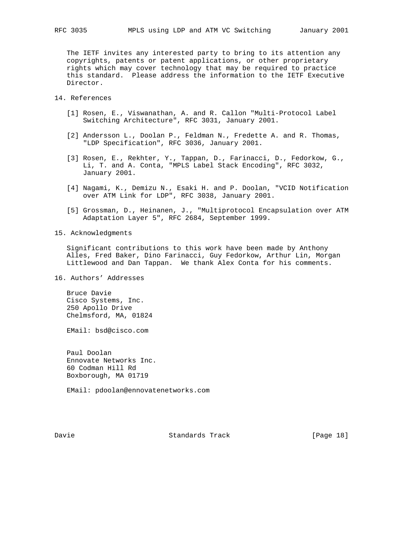The IETF invites any interested party to bring to its attention any copyrights, patents or patent applications, or other proprietary rights which may cover technology that may be required to practice this standard. Please address the information to the IETF Executive Director.

## 14. References

- [1] Rosen, E., Viswanathan, A. and R. Callon "Multi-Protocol Label Switching Architecture", RFC 3031, January 2001.
- [2] Andersson L., Doolan P., Feldman N., Fredette A. and R. Thomas, "LDP Specification", RFC 3036, January 2001.
- [3] Rosen, E., Rekhter, Y., Tappan, D., Farinacci, D., Fedorkow, G., Li, T. and A. Conta, "MPLS Label Stack Encoding", RFC 3032, January 2001.
- [4] Nagami, K., Demizu N., Esaki H. and P. Doolan, "VCID Notification over ATM Link for LDP", RFC 3038, January 2001.
- [5] Grossman, D., Heinanen, J., "Multiprotocol Encapsulation over ATM Adaptation Layer 5", RFC 2684, September 1999.
- 15. Acknowledgments

 Significant contributions to this work have been made by Anthony Alles, Fred Baker, Dino Farinacci, Guy Fedorkow, Arthur Lin, Morgan Littlewood and Dan Tappan. We thank Alex Conta for his comments.

16. Authors' Addresses

 Bruce Davie Cisco Systems, Inc. 250 Apollo Drive Chelmsford, MA, 01824

EMail: bsd@cisco.com

 Paul Doolan Ennovate Networks Inc. 60 Codman Hill Rd Boxborough, MA 01719

EMail: pdoolan@ennovatenetworks.com

Davie **Standards Track** [Page 18]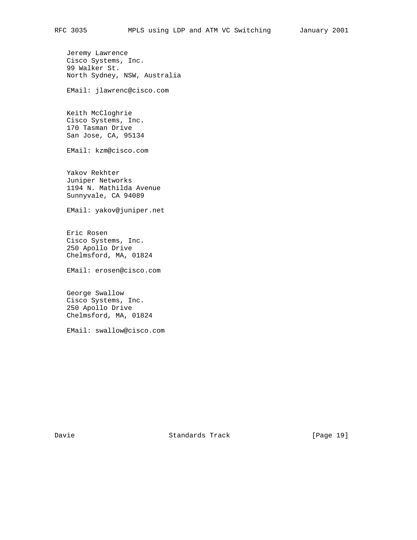Jeremy Lawrence Cisco Systems, Inc. 99 Walker St. North Sydney, NSW, Australia

EMail: jlawrenc@cisco.com

 Keith McCloghrie Cisco Systems, Inc. 170 Tasman Drive San Jose, CA, 95134

EMail: kzm@cisco.com

 Yakov Rekhter Juniper Networks 1194 N. Mathilda Avenue Sunnyvale, CA 94089

EMail: yakov@juniper.net

 Eric Rosen Cisco Systems, Inc. 250 Apollo Drive Chelmsford, MA, 01824

EMail: erosen@cisco.com

 George Swallow Cisco Systems, Inc. 250 Apollo Drive Chelmsford, MA, 01824

EMail: swallow@cisco.com

Davie Chambridge Standards Track [Page 19]